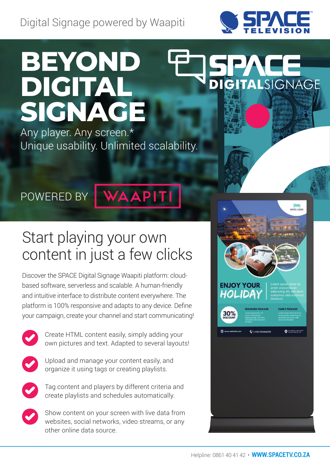Digital Signage powered by Waapiti



# **Beyond Digital Signage**

Any player. Any screen.\* Unique usability. Unlimited scalability.

# **DIGITAL**SIGNAGE

POWERED BY

# **WAAPITI**

# Start playing your own content in just a few clicks

Discover the Space Digital Signage Waapiti platform: cloudbased software, serverless and scalable. A human-friendly and intuitive interface to distribute content everywhere. The platform is 100% responsive and adapts to any device. Define your campaign, create your channel and start communicating!



Create HTML content easily, simply adding your own pictures and text. Adapted to several layouts!



Upload and manage your content easily, and organize it using tags or creating playlists.



Tag content and players by different criteria and create playlists and schedules automatically.



Show content on your screen with live data from websites, social networks, video streams, or any other online data source.

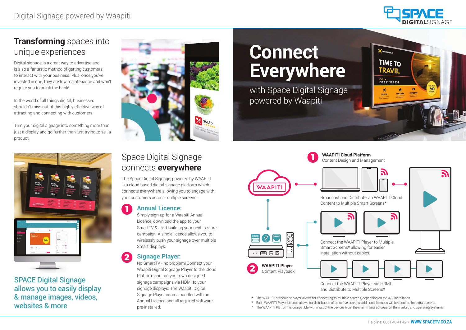# **Transforming** spaces into unique experiences

Digital signage is a great way to advertise and is also a fantastic method of getting customers to interact with your business. Plus, once you've invested in one, they are low maintenance and won't require you to break the bank!

In the world of all things digital, businesses shouldn't miss out of this highly effective way of attracting and connecting with customers.

Turn your digital signage into something more than just a display and go further than just trying to sell a product.



# Space Digital Signage connects **everywhere**

The Space Digital Signage, powered by WAAPITI is a cloud based digital signage platform which connects everywhere allowing you to engage with your customers across multiple screens.

### **Annual Licence: 1**

Simply sign-up for a Waapiti Annual Licence, download the app to your SmartTV & start building your next in-store campaign. A single licence allows you to wirelessly push your signage over multiple Smart displays.

### **Signage Player:**

No SmartTV - no problem! Connect your Waapiti Digital Signage Player to the Cloud Platform and run your own designed signage campaigns via HDMI to your signage displays. The Waapiti Digital Signage Player comes bundled with an Annual Licence and all required software pre-installed.

**2**

# **Connect Everywhere**

- \* The WAAPITI standalone player allows for connecting to multiple screens, depending on the A/V installation.
- \* Each WAAPITI Player Licence allows for distribution of up to five screens, additional licences will be required for extra screens.
- \* The WAAPITI Platform is compatible with most of the devices from the main manufacturers on the market, and operating systems.







Space Digital Signage allows you to easily display & manage images, videos, websites & more



with Space Digital Signage powered by Waapiti